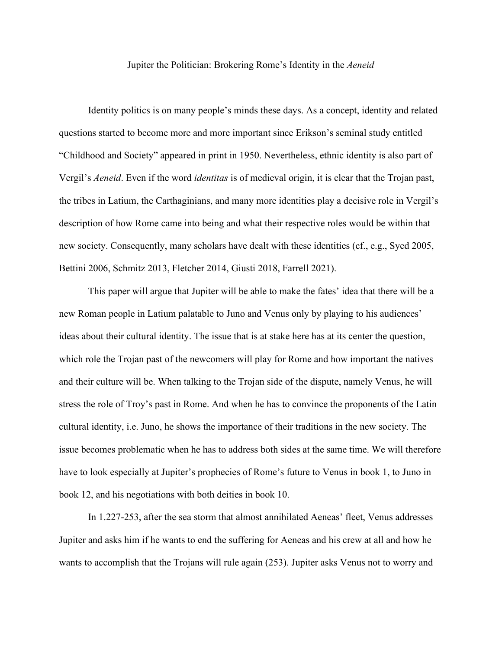Jupiter the Politician: Brokering Rome's Identity in the *Aeneid*

Identity politics is on many people's minds these days. As a concept, identity and related questions started to become more and more important since Erikson's seminal study entitled "Childhood and Society" appeared in print in 1950. Nevertheless, ethnic identity is also part of Vergil's *Aeneid*. Even if the word *identitas* is of medieval origin, it is clear that the Trojan past, the tribes in Latium, the Carthaginians, and many more identities play a decisive role in Vergil's description of how Rome came into being and what their respective roles would be within that new society. Consequently, many scholars have dealt with these identities (cf., e.g., Syed 2005, Bettini 2006, Schmitz 2013, Fletcher 2014, Giusti 2018, Farrell 2021).

This paper will argue that Jupiter will be able to make the fates' idea that there will be a new Roman people in Latium palatable to Juno and Venus only by playing to his audiences' ideas about their cultural identity. The issue that is at stake here has at its center the question, which role the Trojan past of the newcomers will play for Rome and how important the natives and their culture will be. When talking to the Trojan side of the dispute, namely Venus, he will stress the role of Troy's past in Rome. And when he has to convince the proponents of the Latin cultural identity, i.e. Juno, he shows the importance of their traditions in the new society. The issue becomes problematic when he has to address both sides at the same time. We will therefore have to look especially at Jupiter's prophecies of Rome's future to Venus in book 1, to Juno in book 12, and his negotiations with both deities in book 10.

In 1.227-253, after the sea storm that almost annihilated Aeneas' fleet, Venus addresses Jupiter and asks him if he wants to end the suffering for Aeneas and his crew at all and how he wants to accomplish that the Trojans will rule again (253). Jupiter asks Venus not to worry and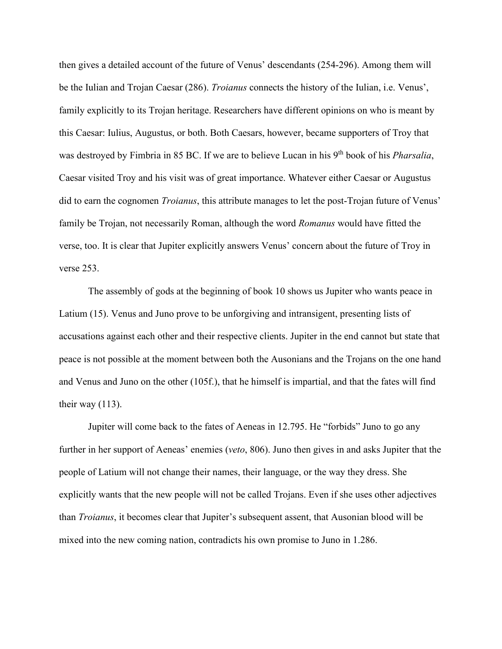then gives a detailed account of the future of Venus' descendants (254-296). Among them will be the Iulian and Trojan Caesar (286). *Troianus* connects the history of the Iulian, i.e. Venus', family explicitly to its Trojan heritage. Researchers have different opinions on who is meant by this Caesar: Iulius, Augustus, or both. Both Caesars, however, became supporters of Troy that was destroyed by Fimbria in 85 BC. If we are to believe Lucan in his 9<sup>th</sup> book of his *Pharsalia*, Caesar visited Troy and his visit was of great importance. Whatever either Caesar or Augustus did to earn the cognomen *Troianus*, this attribute manages to let the post-Trojan future of Venus' family be Trojan, not necessarily Roman, although the word *Romanus* would have fitted the verse, too. It is clear that Jupiter explicitly answers Venus' concern about the future of Troy in verse 253.

The assembly of gods at the beginning of book 10 shows us Jupiter who wants peace in Latium (15). Venus and Juno prove to be unforgiving and intransigent, presenting lists of accusations against each other and their respective clients. Jupiter in the end cannot but state that peace is not possible at the moment between both the Ausonians and the Trojans on the one hand and Venus and Juno on the other (105f.), that he himself is impartial, and that the fates will find their way  $(113)$ .

Jupiter will come back to the fates of Aeneas in 12.795. He "forbids" Juno to go any further in her support of Aeneas' enemies (*veto*, 806). Juno then gives in and asks Jupiter that the people of Latium will not change their names, their language, or the way they dress. She explicitly wants that the new people will not be called Trojans. Even if she uses other adjectives than *Troianus*, it becomes clear that Jupiter's subsequent assent, that Ausonian blood will be mixed into the new coming nation, contradicts his own promise to Juno in 1.286.